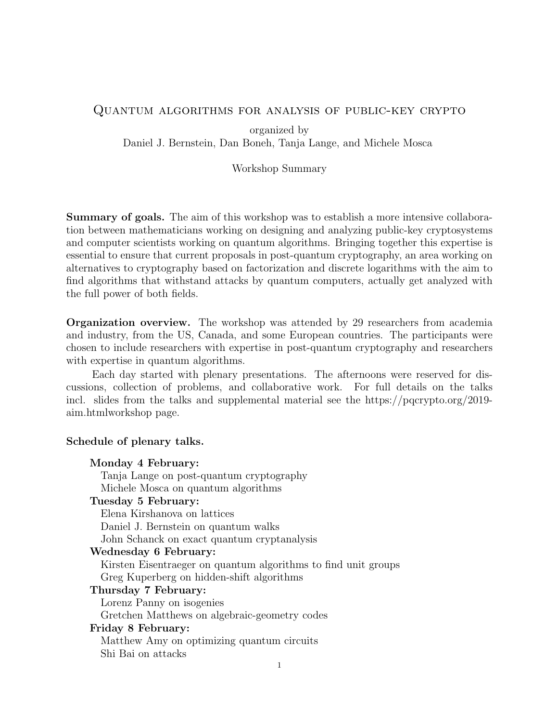# Quantum algorithms for analysis of public-key crypto

organized by Daniel J. Bernstein, Dan Boneh, Tanja Lange, and Michele Mosca

### Workshop Summary

Summary of goals. The aim of this workshop was to establish a more intensive collaboration between mathematicians working on designing and analyzing public-key cryptosystems and computer scientists working on quantum algorithms. Bringing together this expertise is essential to ensure that current proposals in post-quantum cryptography, an area working on alternatives to cryptography based on factorization and discrete logarithms with the aim to find algorithms that withstand attacks by quantum computers, actually get analyzed with the full power of both fields.

Organization overview. The workshop was attended by 29 researchers from academia and industry, from the US, Canada, and some European countries. The participants were chosen to include researchers with expertise in post-quantum cryptography and researchers with expertise in quantum algorithms.

Each day started with plenary presentations. The afternoons were reserved for discussions, collection of problems, and collaborative work. For full details on the talks incl. slides from the talks and supplemental material see the https://pqcrypto.org/2019aim.htmlworkshop page.

### Schedule of plenary talks.

#### Monday 4 February:

Tanja Lange on post-quantum cryptography Michele Mosca on quantum algorithms

# Tuesday 5 February:

Elena Kirshanova on lattices Daniel J. Bernstein on quantum walks John Schanck on exact quantum cryptanalysis

#### Wednesday 6 February:

Kirsten Eisentraeger on quantum algorithms to find unit groups Greg Kuperberg on hidden-shift algorithms

#### Thursday 7 February:

Lorenz Panny on isogenies Gretchen Matthews on algebraic-geometry codes Friday 8 February: Matthew Amy on optimizing quantum circuits

Shi Bai on attacks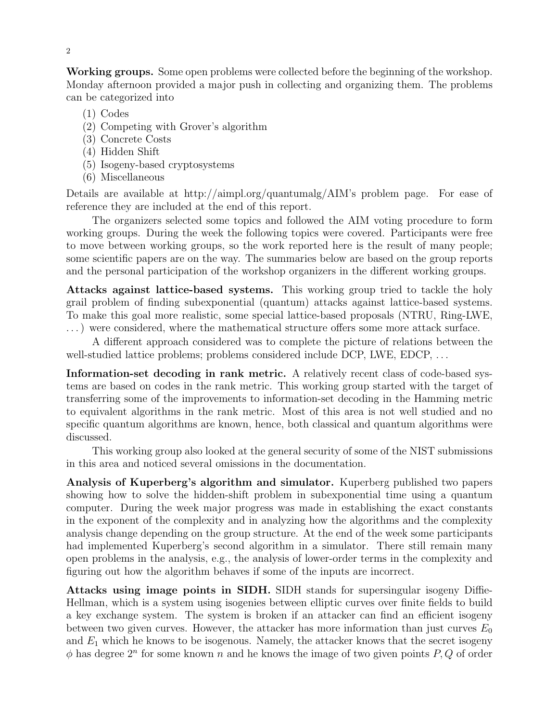Working groups. Some open problems were collected before the beginning of the workshop. Monday afternoon provided a major push in collecting and organizing them. The problems can be categorized into

- (1) Codes
- (2) Competing with Grover's algorithm
- (3) Concrete Costs
- (4) Hidden Shift
- (5) Isogeny-based cryptosystems
- (6) Miscellaneous

Details are available at http://aimpl.org/quantumalg/AIM's problem page. For ease of reference they are included at the end of this report.

The organizers selected some topics and followed the AIM voting procedure to form working groups. During the week the following topics were covered. Participants were free to move between working groups, so the work reported here is the result of many people; some scientific papers are on the way. The summaries below are based on the group reports and the personal participation of the workshop organizers in the different working groups.

Attacks against lattice-based systems. This working group tried to tackle the holy grail problem of finding subexponential (quantum) attacks against lattice-based systems. To make this goal more realistic, some special lattice-based proposals (NTRU, Ring-LWE, . . . ) were considered, where the mathematical structure offers some more attack surface.

A different approach considered was to complete the picture of relations between the well-studied lattice problems; problems considered include DCP, LWE, EDCP, ...

Information-set decoding in rank metric. A relatively recent class of code-based systems are based on codes in the rank metric. This working group started with the target of transferring some of the improvements to information-set decoding in the Hamming metric to equivalent algorithms in the rank metric. Most of this area is not well studied and no specific quantum algorithms are known, hence, both classical and quantum algorithms were discussed.

This working group also looked at the general security of some of the NIST submissions in this area and noticed several omissions in the documentation.

Analysis of Kuperberg's algorithm and simulator. Kuperberg published two papers showing how to solve the hidden-shift problem in subexponential time using a quantum computer. During the week major progress was made in establishing the exact constants in the exponent of the complexity and in analyzing how the algorithms and the complexity analysis change depending on the group structure. At the end of the week some participants had implemented Kuperberg's second algorithm in a simulator. There still remain many open problems in the analysis, e.g., the analysis of lower-order terms in the complexity and figuring out how the algorithm behaves if some of the inputs are incorrect.

Attacks using image points in SIDH. SIDH stands for supersingular isogeny Diffie-Hellman, which is a system using isogenies between elliptic curves over finite fields to build a key exchange system. The system is broken if an attacker can find an efficient isogeny between two given curves. However, the attacker has more information than just curves  $E_0$ and  $E_1$  which he knows to be isogenous. Namely, the attacker knows that the secret isogeny  $\phi$  has degree  $2^n$  for some known n and he knows the image of two given points  $P, Q$  of order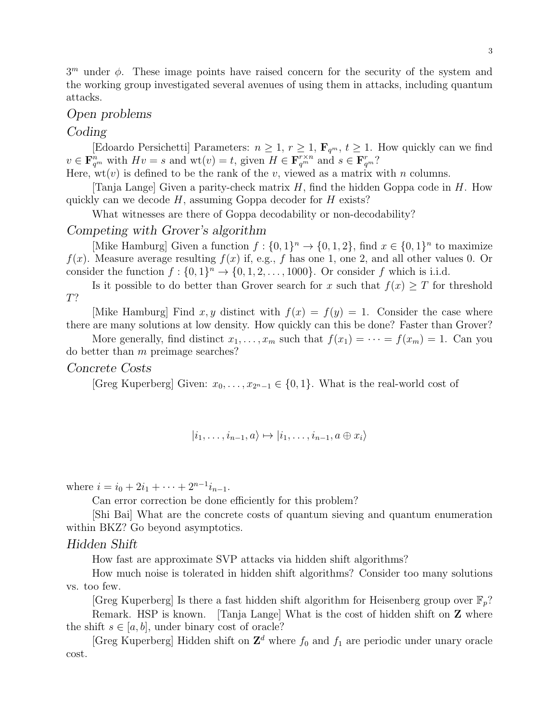$3<sup>m</sup>$  under  $\phi$ . These image points have raised concern for the security of the system and the working group investigated several avenues of using them in attacks, including quantum attacks.

# Open problems

### Coding

[Edoardo Persichetti] Parameters:  $n \geq 1, r \geq 1, \mathbf{F}_{q^m}, t \geq 1$ . How quickly can we find  $v \in \mathbf{F}_{q^m}^n$  with  $Hv = s$  and  $\text{wt}(v) = t$ , given  $H \in \mathbf{F}_{q^m}^{r \times n}$  and  $s \in \mathbf{F}_{q^m}^{r}$ ?

Here,  $wt(v)$  is defined to be the rank of the v, viewed as a matrix with n columns.

[Tanja Lange] Given a parity-check matrix  $H$ , find the hidden Goppa code in  $H$ . How quickly can we decode  $H$ , assuming Goppa decoder for  $H$  exists?

What witnesses are there of Goppa decodability or non-decodability?

# Competing with Grover's algorithm

[Mike Hamburg] Given a function  $f: \{0,1\}^n \to \{0,1,2\}$ , find  $x \in \{0,1\}^n$  to maximize  $f(x)$ . Measure average resulting  $f(x)$  if, e.g., f has one 1, one 2, and all other values 0. Or consider the function  $f: \{0,1\}^n \to \{0,1,2,\ldots,1000\}$ . Or consider f which is i.i.d.

Is it possible to do better than Grover search for x such that  $f(x) \geq T$  for threshold T?

[Mike Hamburg] Find x, y distinct with  $f(x) = f(y) = 1$ . Consider the case where there are many solutions at low density. How quickly can this be done? Faster than Grover?

More generally, find distinct  $x_1, \ldots, x_m$  such that  $f(x_1) = \cdots = f(x_m) = 1$ . Can you do better than m preimage searches?

#### Concrete Costs

[Greg Kuperberg] Given:  $x_0, \ldots, x_{2^{n-1}} \in \{0,1\}$ . What is the real-world cost of

$$
|i_1,\ldots,i_{n-1},a\rangle\mapsto|i_1,\ldots,i_{n-1},a\oplus x_i\rangle
$$

where  $i = i_0 + 2i_1 + \cdots + 2^{n-1}i_{n-1}$ .

Can error correction be done efficiently for this problem?

[Shi Bai] What are the concrete costs of quantum sieving and quantum enumeration within BKZ? Go beyond asymptotics.

#### Hidden Shift

How fast are approximate SVP attacks via hidden shift algorithms?

How much noise is tolerated in hidden shift algorithms? Consider too many solutions vs. too few.

[Greg Kuperberg] Is there a fast hidden shift algorithm for Heisenberg group over  $\mathbb{F}_p$ ? Remark. HSP is known. [Tanja Lange] What is the cost of hidden shift on **Z** where the shift  $s \in [a, b]$ , under binary cost of oracle?

[Greg Kuperberg] Hidden shift on  $\mathbb{Z}^d$  where  $f_0$  and  $f_1$  are periodic under unary oracle cost.